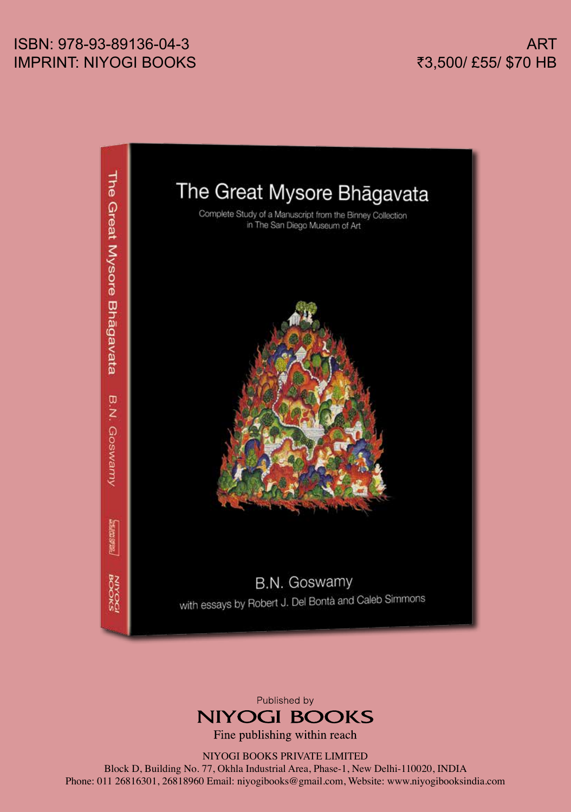## ISBN: 978-93-89136-04-3 IMPRINT: NIYOGI BOOKS





Fine publishing within reach

NIYOGI BOOKS PRIVATE LIMITED

Block D, Building No. 77, Okhla Industrial Area, Phase-1, New Delhi-110020, INDIA Phone: 011 26816301, 26818960 Email: niyogibooks@gmail.com, Website: www.niyogibooksindia.com